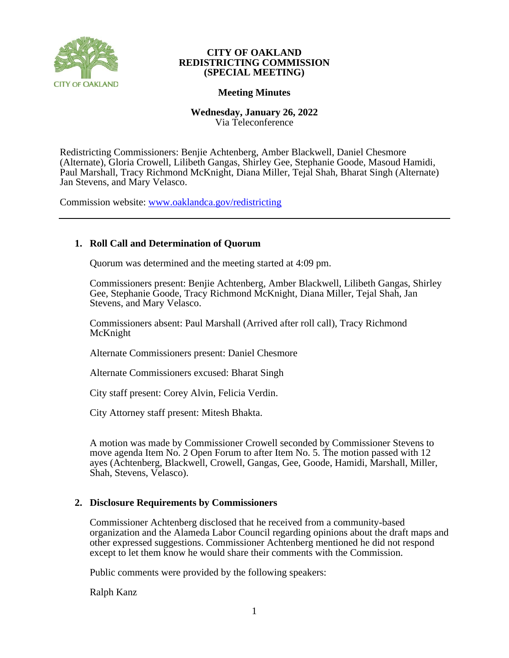

# **Meeting Minutes**

**Wednesday, January 26, 2022** Via Teleconference

Redistricting Commissioners: Benjie Achtenberg, Amber Blackwell, Daniel Chesmore (Alternate), Gloria Crowell, Lilibeth Gangas, Shirley Gee, Stephanie Goode, Masoud Hamidi, Paul Marshall, Tracy Richmond McKnight, Diana Miller, Tejal Shah, Bharat Singh (Alternate) Jan Stevens, and Mary Velasco.

Commission website: [www.oaklandca.gov/redistricting](https://www.oaklandca.gov/boards-commissions/redistricting-commission/meetings)

# **1. Roll Call and Determination of Quorum**

Quorum was determined and the meeting started at 4:09 pm.

Commissioners present: Benjie Achtenberg, Amber Blackwell, Lilibeth Gangas, Shirley Gee, Stephanie Goode, Tracy Richmond McKnight, Diana Miller, Tejal Shah, Jan Stevens, and Mary Velasco.

Commissioners absent: Paul Marshall (Arrived after roll call), Tracy Richmond McKnight

Alternate Commissioners present: Daniel Chesmore

Alternate Commissioners excused: Bharat Singh

City staff present: Corey Alvin, Felicia Verdin.

City Attorney staff present: Mitesh Bhakta.

A motion was made by Commissioner Crowell seconded by Commissioner Stevens to move agenda Item No. 2 Open Forum to after Item No. 5. The motion passed with 12 ayes (Achtenberg, Blackwell, Crowell, Gangas, Gee, Goode, Hamidi, Marshall, Miller, Shah, Stevens, Velasco).

# **2. Disclosure Requirements by Commissioners**

Commissioner Achtenberg disclosed that he received from a community-based organization and the Alameda Labor Council regarding opinions about the draft maps and other expressed suggestions. Commissioner Achtenberg mentioned he did not respond except to let them know he would share their comments with the Commission.

Public comments were provided by the following speakers:

Ralph Kanz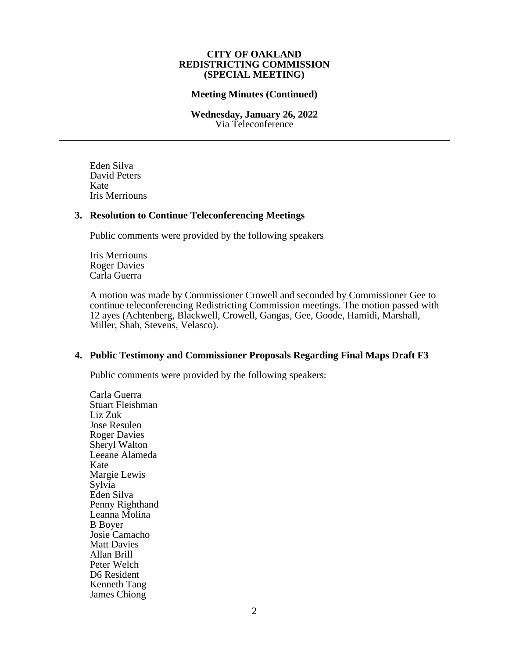### **Meeting Minutes (Continued)**

#### **Wednesday, January 26, 2022** Via Teleconference

Eden Silva David Peters Kate Iris Merriouns

### **3. Resolution to Continue Teleconferencing Meetings**

Public comments were provided by the following speakers

Iris Merriouns Roger Davies Carla Guerra

A motion was made by Commissioner Crowell and seconded by Commissioner Gee to continue teleconferencing Redistricting Commission meetings. The motion passed with 12 ayes (Achtenberg, Blackwell, Crowell, Gangas, Gee, Goode, Hamidi, Marshall, Miller, Shah, Stevens, Velasco).

# **4. Public Testimony and Commissioner Proposals Regarding Final Maps Draft F3**

Public comments were provided by the following speakers:

Carla Guerra Stuart Fleishman Liz Zuk Jose Resuleo Roger Davies Sheryl Walton Leeane Alameda Kate Margie Lewis Sylvia Eden Silva Penny Righthand Leanna Molina B Boyer Josie Camacho Matt Davies Allan Brill Peter Welch D6 Resident Kenneth Tang James Chiong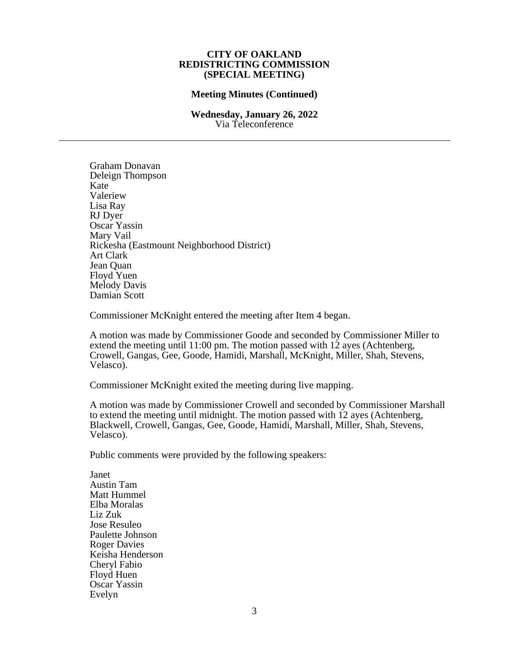### **Meeting Minutes (Continued)**

### **Wednesday, January 26, 2022** Via Teleconference

Graham Donavan Deleign Thompson Kate Valeriew Lisa Ray RJ Dyer Oscar Yassin Mary Vail Rickesha (Eastmount Neighborhood District) Art Clark Jean Quan Floyd Yuen Melody Davis Damian Scott

Commissioner McKnight entered the meeting after Item 4 began.

A motion was made by Commissioner Goode and seconded by Commissioner Miller to extend the meeting until 11:00 pm. The motion passed with 12 ayes (Achtenberg, Crowell, Gangas, Gee, Goode, Hamidi, Marshall, McKnight, Miller, Shah, Stevens, Velasco).

Commissioner McKnight exited the meeting during live mapping.

A motion was made by Commissioner Crowell and seconded by Commissioner Marshall to extend the meeting until midnight. The motion passed with 12 ayes (Achtenberg, Blackwell, Crowell, Gangas, Gee, Goode, Hamidi, Marshall, Miller, Shah, Stevens, Velasco).

Public comments were provided by the following speakers:

Janet Austin Tam Matt Hummel Elba Moralas Liz Zuk Jose Resuleo Paulette Johnson Roger Davies Keisha Henderson Cheryl Fabio Floyd Huen Oscar Yassin Evelyn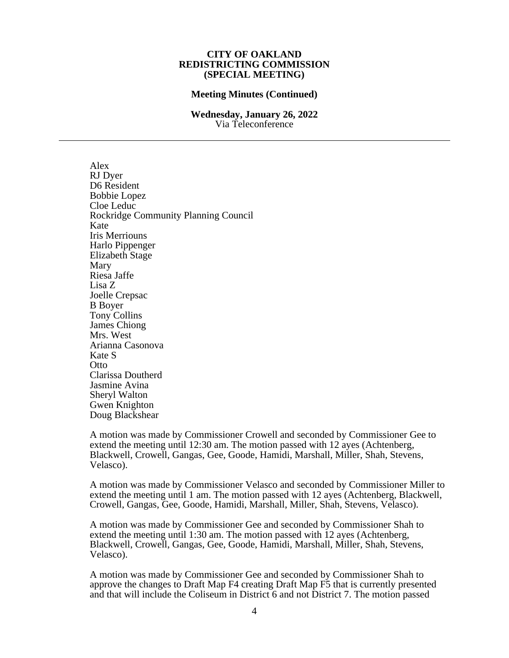#### **Meeting Minutes (Continued)**

#### **Wednesday, January 26, 2022** Via Teleconference

Alex RJ Dyer D6 Resident Bobbie Lopez Cloe Leduc Rockridge Community Planning Council Kate Iris Merriouns Harlo Pippenger Elizabeth Stage Mary Riesa Jaffe Lisa Z Joelle Crepsac B Boyer Tony Collins James Chiong Mrs. West Arianna Casonova Kate S **Otto** Clarissa Doutherd Jasmine Avina Sheryl Walton Gwen Knighton Doug Blackshear

A motion was made by Commissioner Crowell and seconded by Commissioner Gee to extend the meeting until 12:30 am. The motion passed with 12 ayes (Achtenberg, Blackwell, Crowell, Gangas, Gee, Goode, Hamidi, Marshall, Miller, Shah, Stevens, Velasco).

A motion was made by Commissioner Velasco and seconded by Commissioner Miller to extend the meeting until 1 am. The motion passed with 12 ayes (Achtenberg, Blackwell, Crowell, Gangas, Gee, Goode, Hamidi, Marshall, Miller, Shah, Stevens, Velasco).

A motion was made by Commissioner Gee and seconded by Commissioner Shah to extend the meeting until 1:30 am. The motion passed with 12 ayes (Achtenberg, Blackwell, Crowell, Gangas, Gee, Goode, Hamidi, Marshall, Miller, Shah, Stevens, Velasco).

A motion was made by Commissioner Gee and seconded by Commissioner Shah to approve the changes to Draft Map F4 creating Draft Map F5 that is currently presented and that will include the Coliseum in District 6 and not District 7. The motion passed